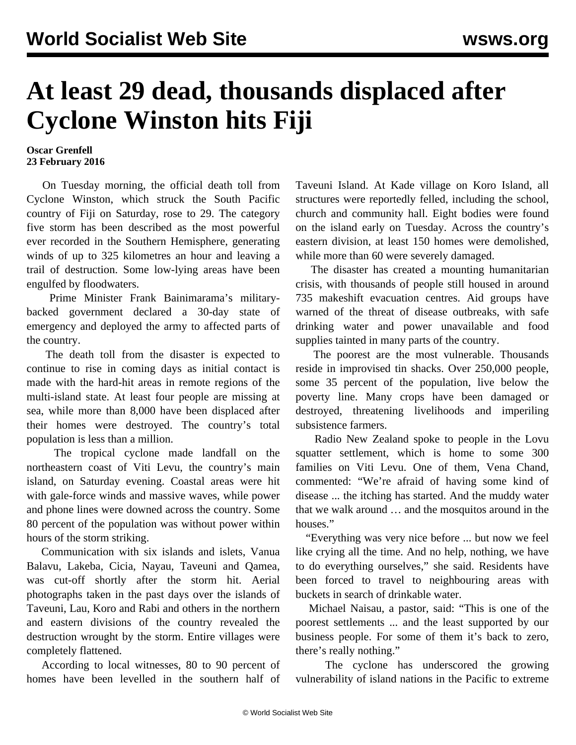## **At least 29 dead, thousands displaced after Cyclone Winston hits Fiji**

## **Oscar Grenfell 23 February 2016**

 On Tuesday morning, the official death toll from Cyclone Winston, which struck the South Pacific country of Fiji on Saturday, rose to 29. The category five storm has been described as the most powerful ever recorded in the Southern Hemisphere, generating winds of up to 325 kilometres an hour and leaving a trail of destruction. Some low-lying areas have been engulfed by floodwaters.

 Prime Minister Frank Bainimarama's militarybacked government declared a 30-day state of emergency and deployed the army to affected parts of the country.

 The death toll from the disaster is expected to continue to rise in coming days as initial contact is made with the hard-hit areas in remote regions of the multi-island state. At least four people are missing at sea, while more than 8,000 have been displaced after their homes were destroyed. The country's total population is less than a million.

 The tropical cyclone made landfall on the northeastern coast of Viti Levu, the country's main island, on Saturday evening. Coastal areas were hit with gale-force winds and massive waves, while power and phone lines were downed across the country. Some 80 percent of the population was without power within hours of the storm striking.

 Communication with six islands and islets, Vanua Balavu, Lakeba, Cicia, Nayau, Taveuni and Qamea, was cut-off shortly after the storm hit. Aerial photographs taken in the past days over the islands of Taveuni, Lau, Koro and Rabi and others in the northern and eastern divisions of the country revealed the destruction wrought by the storm. Entire villages were completely flattened.

 According to local witnesses, 80 to 90 percent of homes have been levelled in the southern half of Taveuni Island. At Kade village on Koro Island, all structures were reportedly felled, including the school, church and community hall. Eight bodies were found on the island early on Tuesday. Across the country's eastern division, at least 150 homes were demolished, while more than 60 were severely damaged.

 The disaster has created a mounting humanitarian crisis, with thousands of people still housed in around 735 makeshift evacuation centres. Aid groups have warned of the threat of disease outbreaks, with safe drinking water and power unavailable and food supplies tainted in many parts of the country.

 The poorest are the most vulnerable. Thousands reside in improvised tin shacks. Over 250,000 people, some 35 percent of the population, live below the poverty line. Many crops have been damaged or destroyed, threatening livelihoods and imperiling subsistence farmers.

 Radio New Zealand spoke to people in the Lovu squatter settlement, which is home to some 300 families on Viti Levu. One of them, Vena Chand, commented: "We're afraid of having some kind of disease ... the itching has started. And the muddy water that we walk around … and the mosquitos around in the houses."

 "Everything was very nice before ... but now we feel like crying all the time. And no help, nothing, we have to do everything ourselves," she said. Residents have been forced to travel to neighbouring areas with buckets in search of drinkable water.

 Michael Naisau, a pastor, said: "This is one of the poorest settlements ... and the least supported by our business people. For some of them it's back to zero, there's really nothing."

 The cyclone has underscored the growing vulnerability of island nations in the Pacific to extreme